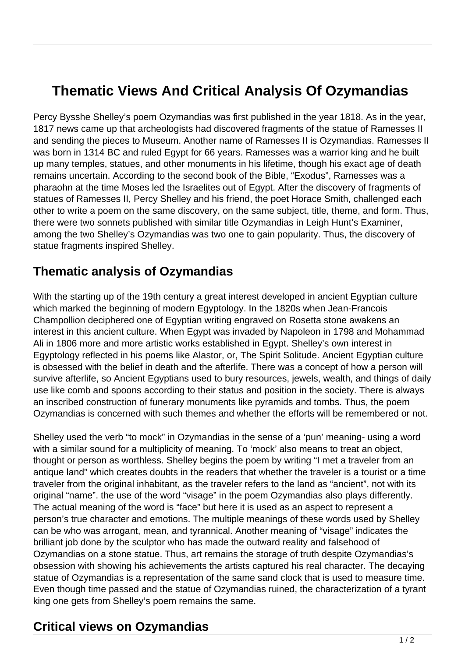## **Thematic Views And Critical Analysis Of Ozymandias**

Percy Bysshe Shelley's poem Ozymandias was first published in the year 1818. As in the year, 1817 news came up that archeologists had discovered fragments of the statue of Ramesses II and sending the pieces to Museum. Another name of Ramesses II is Ozymandias. Ramesses II was born in 1314 BC and ruled Egypt for 66 years. Ramesses was a warrior king and he built up many temples, statues, and other monuments in his lifetime, though his exact age of death remains uncertain. According to the second book of the Bible, "Exodus", Ramesses was a pharaohn at the time Moses led the Israelites out of Egypt. After the discovery of fragments of statues of Ramesses II, Percy Shelley and his friend, the poet Horace Smith, challenged each other to write a poem on the same discovery, on the same subject, title, theme, and form. Thus, there were two sonnets published with similar title Ozymandias in Leigh Hunt's Examiner, among the two Shelley's Ozymandias was two one to gain popularity. Thus, the discovery of statue fragments inspired Shelley.

## **Thematic analysis of Ozymandias**

With the starting up of the 19th century a great interest developed in ancient Egyptian culture which marked the beginning of modern Egyptology. In the 1820s when Jean-Francois Champollion deciphered one of Egyptian writing engraved on Rosetta stone awakens an interest in this ancient culture. When Egypt was invaded by Napoleon in 1798 and Mohammad Ali in 1806 more and more artistic works established in Egypt. Shelley's own interest in Egyptology reflected in his poems like Alastor, or, The Spirit Solitude. Ancient Egyptian culture is obsessed with the belief in death and the afterlife. There was a concept of how a person will survive afterlife, so Ancient Egyptians used to bury resources, jewels, wealth, and things of daily use like comb and spoons according to their status and position in the society. There is always an inscribed construction of funerary monuments like pyramids and tombs. Thus, the poem Ozymandias is concerned with such themes and whether the efforts will be remembered or not.

Shelley used the verb "to mock" in Ozymandias in the sense of a 'pun' meaning- using a word with a similar sound for a multiplicity of meaning. To 'mock' also means to treat an object, thought or person as worthless. Shelley begins the poem by writing "I met a traveler from an antique land" which creates doubts in the readers that whether the traveler is a tourist or a time traveler from the original inhabitant, as the traveler refers to the land as "ancient", not with its original "name". the use of the word "visage" in the poem Ozymandias also plays differently. The actual meaning of the word is "face" but here it is used as an aspect to represent a person's true character and emotions. The multiple meanings of these words used by Shelley can be who was arrogant, mean, and tyrannical. Another meaning of "visage" indicates the brilliant job done by the sculptor who has made the outward reality and falsehood of Ozymandias on a stone statue. Thus, art remains the storage of truth despite Ozymandias's obsession with showing his achievements the artists captured his real character. The decaying statue of Ozymandias is a representation of the same sand clock that is used to measure time. Even though time passed and the statue of Ozymandias ruined, the characterization of a tyrant king one gets from Shelley's poem remains the same.

## **Critical views on Ozymandias**